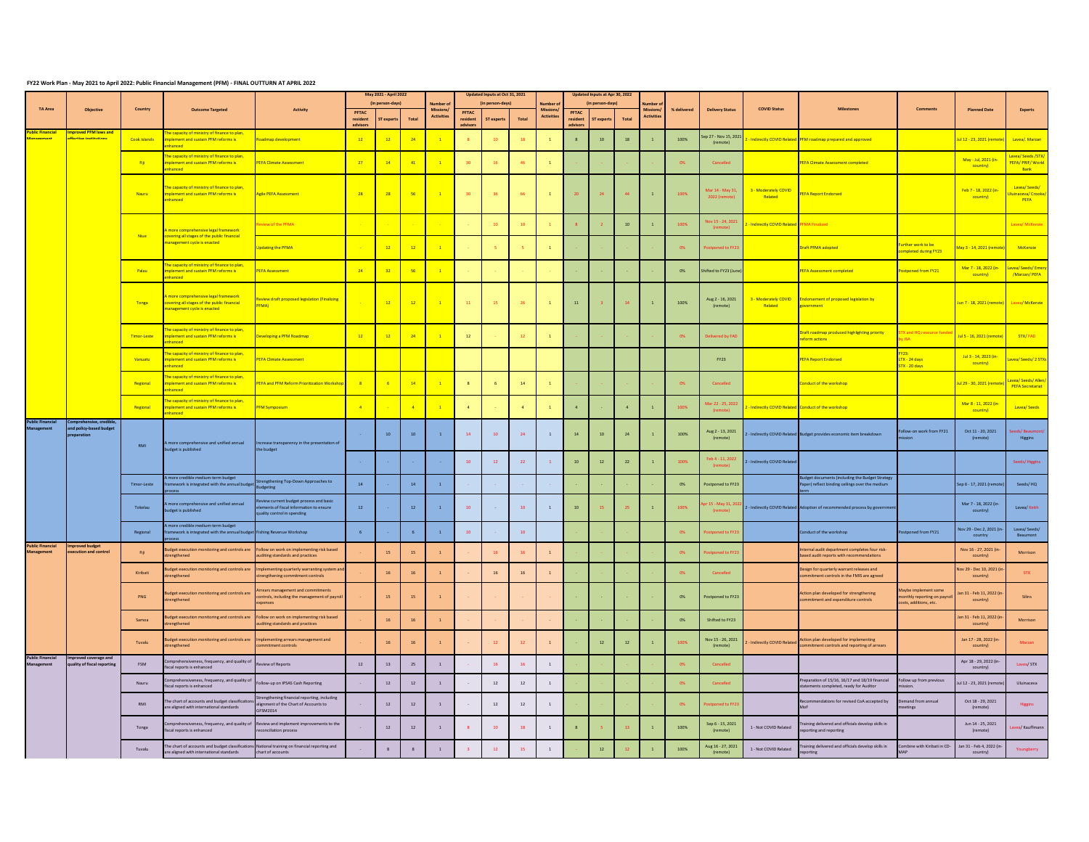## **FY22 Work Plan - May 2021 to April 2022: Public Financial Management (PFM) - FINAL OUTTURN AT APRIL 2022**

| <b>TA Area</b>                             |                                                 | Country      | <b>Outcome Targeted</b>                                                                                       | <b>Activity</b>                                                                                              | May 2021 - April 2022<br>(in person-days) |                 | Vumber a       | Updated Inputs at Oct 31, 2021<br>(in person-days) |                               |                   | umber:          | Updated Inputs at Apr 30, 2022<br>(in person-days) |                                     |            |            |                       |             |                                  |                                 |                                                                                                |                                                                           |                                           |                                                       |
|--------------------------------------------|-------------------------------------------------|--------------|---------------------------------------------------------------------------------------------------------------|--------------------------------------------------------------------------------------------------------------|-------------------------------------------|-----------------|----------------|----------------------------------------------------|-------------------------------|-------------------|-----------------|----------------------------------------------------|-------------------------------------|------------|------------|-----------------------|-------------|----------------------------------|---------------------------------|------------------------------------------------------------------------------------------------|---------------------------------------------------------------------------|-------------------------------------------|-------------------------------------------------------|
|                                            | <b>Objective</b>                                |              |                                                                                                               |                                                                                                              | PFTAC<br>resident<br>advisors             | ST experts      | Total          | Missions/<br>Activitie                             | PFTAC<br>resident<br>advisor: | <b>ST</b> experts | Total           | Missions/<br>Activitie:                            | <b>PFTAC</b><br>resident<br>dvisors | ST experts | Total      | Missions<br>Activitie | % delivered | <b>Delivery Status</b>           | <b>COVID Status</b>             |                                                                                                |                                                                           | <b>Planned Date</b>                       | Experts                                               |
| <b>Ilic Financia</b>                       | proved PFM laws and<br>tive institution         | Cook Islands | e capacity of ministry of finance to plan,<br><b>Idement and sustain PFM reforms is</b><br>nced               | admap development                                                                                            | 12                                        | 12              | 24             | $\mathbf{1}$                                       | $\overline{\mathbf{8}}$       | 10                | 18              | $\mathbf{1}$                                       | $\mathbf{8}$                        | 10         | 18         | $\mathbf{1}$          | 100%        | ep 27 - Nov 15, 2021<br>(remote) | Indirectly COVID Related        | FM roadmap prepared and approved                                                               |                                                                           | ul 12 - 23, 2021 (remo                    | Lavea/. Marzan                                        |
|                                            |                                                 | Fiji         | he capacity of ministry of finance to plan,<br>ement and sustain PFM reforms is<br><b><i><u>Annes</u></i></b> | <b>FA Climate Assessmen</b>                                                                                  | $\overline{27}$                           | $14\,$          | $\sqrt{41}$    | $\mathbf{1}$                                       | 30                            | 16                | 46              | $\mathbf{1}$                                       |                                     |            |            |                       | 0%          | Cancelled                        |                                 | <b>EFA Climate Assessment completed</b>                                                        |                                                                           | May - Jul. 2021 (in-<br>country)          | Lavea/ Seeds /STX<br><b>PEFA/ PRIF/ World</b><br>Bank |
|                                            |                                                 | Nauru        | e capacity of ministry of finance to plan,<br>plement and sustain PFM reforms is<br>hanced                    | gile PEFA Assessment                                                                                         | 28                                        | 28              | 56             | $\mathbf{1}$                                       | 30 <sub>2</sub>               | 36                | 66              | $\mathbf{1}$                                       | 20                                  |            | 44         |                       | 100%        | Mar 14 - May 31<br>2022 (remote  | 3 - Moderately COVID<br>Related | <b>PEFA Report Endorsed</b>                                                                    |                                                                           | Feb 7 - 18, 2022 (in-<br>country)         | Lavea/Seeds/<br>uinaceva/ Crook<br>PEFA               |
|                                            |                                                 | Niue         | nore comprehensive legal framework                                                                            | ew of the PEMA                                                                                               |                                           |                 |                |                                                    |                               | 10                | 10 <sub>1</sub> | $\mathbf{1}$                                       |                                     |            | 10         | $\mathbf{1}$          | 100%        | lov 15 - 24, 2021                | Indirectly COVID Related        | MA Finalized                                                                                   |                                                                           |                                           | avea/ McKer                                           |
|                                            |                                                 |              | vering all stages of the public financial<br>nagement cycle is enacted                                        | pdating the PFMA                                                                                             |                                           | $12\,$          | $12\,$         | $\mathbf{1}$                                       |                               |                   |                 | $\mathbf{1}$                                       |                                     |            |            |                       | 0%          | poned to FY.                     |                                 | raft PFMA adopted                                                                              | rther work to be<br>mpleted during FY23                                   | Aay 3 - 14, 2021 (remo                    | McKenzie                                              |
|                                            |                                                 | Palau        | le capacity of ministry of finance to plan,<br>lement and sustain PFM reforms is<br>anced                     | <b>FFA Assessment</b>                                                                                        | 24                                        | 32 <sup>2</sup> | 56             | $\overline{1}$                                     |                               |                   |                 |                                                    |                                     |            |            |                       | 0%          | hifted to FY23 (Jur              |                                 | <b>PEFA Assessment completed</b>                                                               | stooned from FY21                                                         | Mar 7 - 18, 2022 (in-<br>country)         | wea/ Seeds/ Eme<br>/Marzan/ PEFA                      |
|                                            |                                                 | Tonga        | mprehensive legal framework<br>overing all stages of the public financial<br>inagement cycle is enacted       | eview draft proposed legislation (Finalizing<br>FMA)                                                         |                                           | 12 <sup>°</sup> | 12             | $\mathbf{1}$                                       | $\mathbf{11}$                 | 15 <sup>°</sup>   | 26              | $\mathbf{1}$                                       | 11                                  |            | 14         |                       | 100%        | Aug 2 - 16, 2021<br>(remote)     |                                 | 3 - Moderately COVID<br>Related species are all proposed legislation by                        |                                                                           | lun 7 - 18, 2021 (remote) Lavea/ McKenzie |                                                       |
|                                            |                                                 | Timor-Leste  | e capacity of ministry of finance to plan,<br><b>Idement and sustain PFM reforms is</b><br>anced              | veloping a PFM Roadmap                                                                                       | 12                                        | 12              | 24             | $\mathbf{1}$                                       | $\bf 12$                      |                   | $12$            | $\mathbf{1}$                                       |                                     |            |            |                       | 0%          | livered by FAI                   |                                 | <b>Inaft roadmap produced highlighting priority</b><br>form actions                            | X and HQ res                                                              | Jul 5 - 16, 2021 (remot                   | STX/FAD                                               |
|                                            |                                                 | Vanuatu      | e capacity of ministry of finance to plan<br>lement and sustain PFM reforms is<br>anced                       | <b>EFA Climate Assessment</b>                                                                                |                                           |                 |                |                                                    |                               |                   |                 |                                                    |                                     |            |            |                       |             | <b>FY23</b>                      |                                 | <b>EFA Report Endorsed</b>                                                                     | Y23:<br>LTX - 24 days<br>$\overline{TX}$ - 20 days                        | Jul 3 - 14, 2023 (in-<br>country)         | vea/ Seeds/ 2 STX                                     |
|                                            |                                                 | Regional     | e capacity of ministry of finance to plan,<br>ement and sustain PFM reforms is<br><b><i><u>Incone</u></i></b> | <b>EFA and PFM Reform Prioritization Worksh</b>                                                              |                                           |                 | 14             | $\overline{1}$                                     | $\overline{\mathbf{8}}$       |                   | 14              |                                                    |                                     |            |            |                       |             | Cancelled                        |                                 | anduct of the workshop                                                                         |                                                                           | remo 20 - 30, 2021 (remo                  | vea/ Seeds/ Alle<br><b>PEFA Secretariat</b>           |
|                                            |                                                 | Regional     | e capacity of ministry of finance to plan<br>plement and sustain PFM reforms is<br>anced                      | <b>FM Symposium</b>                                                                                          | $\overline{a}$                            |                 | $\overline{a}$ | $-1$                                               | $\Delta$                      |                   | $\Delta$        | $\blacksquare$                                     | $\Delta$                            |            | $\Delta$   | $\mathbf{1}$          | 100%        | ar 22 - 25, 202                  | - Indirectly COVID Related      | <b>Conduct of the workshop</b>                                                                 |                                                                           | Mar 8 - 11, 2022 (in<br>country)          | Lavea/Seeds                                           |
| blic Financia                              | mprehensive, credit<br>nd policy-based budget   | RMI          | more comprehensive and unified annual<br>udget is published                                                   | rease transparency in the presentation<br>he budget                                                          |                                           | ${\bf 10}$      | 10             | $\mathbf{1}$                                       | $\bf 14$                      | $10\,$            | 24              | $\mathbf{1}$                                       | $14\,$                              | ${\bf 10}$ | ${\bf 24}$ |                       | 100%        | Aug 2 - 13, 2021<br>(remote)     | - Indirectly COVID Relate       | Budget provides economic item breakdown                                                        | low-on work from FY21                                                     | Oct 11 - 20, 2021<br>(remote)             | eeds/Beaumo<br>Higgins                                |
|                                            |                                                 |              |                                                                                                               |                                                                                                              |                                           |                 |                |                                                    | $10$                          | $12\,$            | $22\,$          | $\mathbf{1}$                                       | $10\,$                              | $12\,$     | $\bf 22$   |                       |             | Feb 4 - 11, 2022                 | - Indirectly COVID Relati       |                                                                                                |                                                                           |                                           | Seeds/Higgins                                         |
|                                            |                                                 | Timor-Leste  | more credible medium-term budget<br>mework is integrated with the annual bud                                  | engthening Top-Down Approaches to<br>idgeting                                                                | $14\,$                                    |                 | $14$           | $\mathbf{1}$                                       |                               |                   |                 |                                                    |                                     |            |            |                       | 0%          | ostponed to FY23                 |                                 | dget documents (including the Budget Strategy<br>per) reflect binding ceilings over the medium |                                                                           | Sep 6 - 17, 2021 (remo                    | Seeds/HQ                                              |
|                                            |                                                 | Tokelau      | nore comprehensive and unified annual<br>dget is published                                                    | wiew current budget process and basic<br>ements of fiscal information to ensure<br>ality control in spending | 12                                        |                 | $12$           | $\overline{1}$                                     | 10                            |                   | 10              | $\mathbf{1}$                                       | 10                                  |            | 25.        | $\mathbf{1}$          | 100%        | r 15 - May 31, 20                | 2 - Indirectly COVID Related    | Adoption of recommended process by govern                                                      |                                                                           | Mar 7 - 18, 2022 (in-<br>country)         | Lavea/ Keith                                          |
|                                            |                                                 | Regional     | more credible medium-term budget<br>nework is integrated with the annual bud                                  | ishing Revenue Workshop                                                                                      | 6 <sup>1</sup>                            |                 | $-6$           | $\mathbf{1}$                                       | 10                            |                   | $10\,$          |                                                    |                                     |            |            |                       | 0%          | ed to FY                         |                                 | onduct of the workshop                                                                         | tponed from FY21                                                          | Nov 29 - Dec 2, 2021 (in<br>country       | Lavea/ Seeds/<br>Beaumont                             |
| <b>Public Financia</b><br><b>anagement</b> | xecution and control                            | Fiji         | dget execution monitoring and controls are<br>engthened                                                       | sllow on work on implementing risk based<br>diting standards and practices                                   |                                           | 15              | 15             |                                                    |                               | 16                |                 | $\overline{1}$                                     |                                     |            |            |                       | 0%          | ed to FY:                        |                                 | ternal audit department completes four risk-<br>sed audit reports with recommendations         |                                                                           | Nov 16 - 27, 2021 (in<br>country)         | Morrison                                              |
|                                            |                                                 | Kiribat      | dget execution monitoring and controls are<br>engthened                                                       | plementing quarterly warranting system a<br>rengthening commitment controls                                  |                                           | ${\bf 16}$      | ${\bf 16}$     | $\,$ 1 $\,$                                        |                               | $16\,$            | ${\bf 16}$      | $\,$ 1 $\,$                                        |                                     |            |            |                       | 0%          | Cancelled                        |                                 | esign for quarterly warrant releases and<br>mitment controls in the FMIS are agreed            |                                                                           | lov 29 - Dec 10, 2021 (<br>country)       | <b>STX</b>                                            |
|                                            |                                                 | PNG          | dget execution monitoring and controls are<br>engthened                                                       | rears management and commitments<br>ontrols, including the management of payroll<br>penses                   |                                           | 15              | 15             | $\mathbf{1}$                                       |                               |                   |                 |                                                    |                                     |            |            |                       | 0%          | Postponed to FY23                |                                 | tion plan developed for strengthening<br>mmitment and expenditure controls                     | laybe implement some<br>onthly reporting on payre<br>sts, additions, etc. | n 31 - Feb 11, 2022  <br>country)         | Silins                                                |
|                                            |                                                 | Samoa        | dget execution monitoring and controls are<br>rengthened                                                      | ollow on work on implementing risk based<br>uditing standards and practices                                  |                                           | $16\,$          | 16             |                                                    |                               |                   |                 |                                                    |                                     |            |            |                       | 0%          | Shifted to FY23                  |                                 |                                                                                                |                                                                           | lan 31 - Feb 11, 2022  <br>country)       | Morrison                                              |
|                                            |                                                 | Tuvalu       | dget execution monitoring and controls are<br>engthened                                                       | nplementing arrears management and<br>mmitment controls                                                      |                                           | ${\bf 16}$      | ${\bf 16}$     | $\overline{1}$                                     |                               | 12                | $12$            |                                                    |                                     | 12         | 12         |                       |             | Nov 15 - 26, 2021<br>(remote)    | - Indirectly COVID Related      | Action plan developed for implementing<br>ommitment controls and reporting of arrears          |                                                                           | Jan 17 - 28, 2022 (in<br>country)         | Marzan                                                |
| <b>Public Financial</b>                    | proved coverage and<br>ality of fiscal reportin | <b>FSM</b>   | omprehensiveness, frequency, and quality<br>scal reports is enhanced                                          | eview of Reports                                                                                             | $12\,$                                    | $13\,$          | $25\,$         | $\overline{1}$                                     |                               | <b>16</b>         | 16              | $\,$ 1 $\,$                                        |                                     |            |            |                       |             | Cancelled                        |                                 |                                                                                                |                                                                           | Apr 18 - 29, 2022 (in<br>country)         | Lavea/ STX                                            |
|                                            |                                                 | Nauru        | prehensiveness, frequency, and quality<br>scal reports is enhanced                                            | ollow-up on IPSAS Cash Reporting                                                                             |                                           | $12\,$          | $12\,$         | $\,$ 1 $\,$                                        |                               | $12\,$            | $12\,$          | $\,$ 1 $\,$                                        |                                     |            |            |                       | 0%          | Cancelled                        |                                 | paration of 15/16, 16/17 and 18/19 financial<br>tements completed, ready for Auditor           | llow up from previous<br>$\sum_{i=1}^{n}$                                 | Jul 12 - 23, 2021 (remo                   | Uluinaceva                                            |
|                                            |                                                 | RMI          | he chart of accounts and budget classifica<br>re aligned with international standards                         | engthening financial reporting, including<br>ignment of the Chart of Accounts to<br>FSM2014                  |                                           | 12              | 12             | $\overline{1}$                                     |                               | 12                | 12 <sup>°</sup> | $\overline{1}$                                     |                                     |            |            |                       | n%          | stooned to FY2                   |                                 | ommendations for revised CoA accepted by                                                       | nand from annual<br>etings                                                | Oct 18 - 29, 2021<br>(remote)             | Higgins                                               |
|                                            |                                                 | Tonga        | nprehensiveness, frequency, and quality<br>scal reports is enhanced                                           | eview and implement improvements to the<br>econciliation process                                             |                                           | $12\,$          | $12\,$         |                                                    |                               | 10                | 18              |                                                    |                                     |            |            |                       | 100%        | Sep 6 - 15, 2021<br>(remote)     | 1 - Not COVID Related           | aining delivered and officials develop skills in<br>porting and reporting                      |                                                                           | lun 14 - 25 2021<br>(remote)              | r <mark>vea/</mark> Kauffman                          |
|                                            |                                                 | Tuvalu       | he chart of accounts and budget classificati<br>re aligned with international standards                       | ational training on financial reporting and<br>hart of accounts                                              |                                           | $\mathbf{R}$    | $\mathbf{8}$   | $\overline{1}$                                     | $\overline{a}$                | $12\,$            | 15              | $\overline{1}$                                     |                                     | 12         |            | $\overline{1}$        | 100%        | Aug 16 - 27, 2021<br>(remote)    | 1 - Not COVID Related           | raining delivered and officials develop skills in<br>orting                                    | Combine with Kiribati in CD-                                              | Jan 31 - Feb 4, 2022 (i<br>country)       | Youngberry                                            |